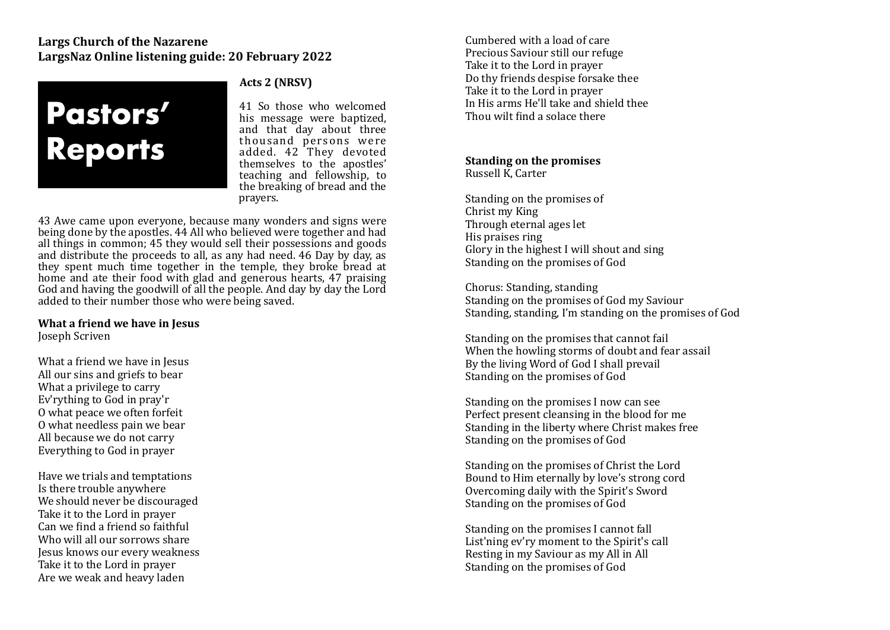## **Largs Church of the Nazarene** LargsNaz Online listening guide: 20 February 2022



### Acts 2 (NRSV)

41 So those who welcomed his message were baptized. and that day about three thousand persons were added. 42 They devoted themselves to the apostles' teaching and fellowship, to the breaking of bread and the prayers. 

43 Awe came upon everyone, because many wonders and signs were being done by the apostles. 44 All who believed were together and had all things in common;  $45$  they would sell their possessions and goods and distribute the proceeds to all, as any had need.  $46$  Day by day, as they spent much time together in the temple, they broke bread at home and ate their food with glad and generous hearts, 47 praising God and having the goodwill of all the people. And day by day the Lord added to their number those who were being saved.

# **What a friend we have in Jesus**

Joseph Scriven 

What a friend we have in Jesus All our sins and griefs to bear What a privilege to carry Ev'rything to God in pray'r O what peace we often forfeit O what needless pain we bear All because we do not carry Everything to God in prayer

Have we trials and temptations Is there trouble anywhere We should never be discouraged Take it to the Lord in prayer  $Can we find a friend so faithful$ Who will all our sorrows share Jesus knows our every weakness Take it to the Lord in prayer Are we weak and heavy laden

Cumbered with a load of care Precious Saviour still our refuge Take it to the Lord in prayer Do thy friends despise forsake thee Take it to the Lord in prayer In His arms He'll take and shield thee Thou wilt find a solace there

## **Standing on the promises**

Russell K, Carter 

Standing on the promises of Christ my King Through eternal ages let His praises ring Glory in the highest I will shout and sing Standing on the promises of God

Chorus: Standing, standing Standing on the promises of God my Saviour Standing, standing, I'm standing on the promises of God

Standing on the promises that cannot fail When the howling storms of doubt and fear assail By the living Word of God I shall prevail Standing on the promises of God

Standing on the promises I now can see Perfect present cleansing in the blood for me Standing in the liberty where Christ makes free Standing on the promises of God

Standing on the promises of Christ the Lord Bound to Him eternally by love's strong cord Overcoming daily with the Spirit's Sword Standing on the promises of God

Standing on the promises I cannot fall List'ning ev'ry moment to the Spirit's call Resting in my Saviour as my All in All Standing on the promises of God